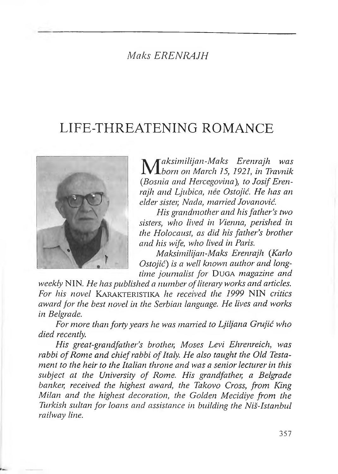# *Maks ERENRAJH*

# LIFE-THREATENING ROMANCE



*M aksimilijan-Maks Erenrajh was born on March 15, 1921, in Travmk (JBosniaandHercegovina),toJosif Eiem rajh and Ljubica, nee Ostojić. He has an elder sister, Nada, married Jovanović.*

*His grandmother and hisfather's two sisters, who lived in Vienna, perished in the Holocaust, as did his father's brother and his wife, who lived in Paris.*

*Maknimilijan-Makn Erenrajh {Karlo Ostojić) is a well known author and longtime journalist for* Duga *magazine and*

*weekly* NIN. *He has published a number ofliterary works and articles. For his novel* Karakteristika *he received the 1999* NIN *critics award for the best novel in the Serbian language. He lives and works in Belgrade.*

*For more than forty years he was married to Ljiljana Grujić who died recently.*

*His great-grandf<sup>a</sup>ther'<sup>s</sup> brother, Moses Levi Ehrenreich, was rabbi ofRome and chiefrabbi ofItaly/. He also taught the Old Testament to the heir to the Italian throne and was a senior lecturer in this subject at the University of Rome. His grandfather, a Belgrade banker, received the highest award, the Takovo Cross, from King Milan and the highest decoration, the Golden Mecidiye from the Turkish sultan for loans and assistance in building the Niš-Istanbul railway line.*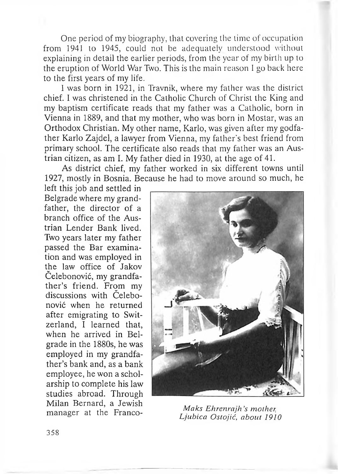One period of my biography, that covering the time of occupation from 1941 to 1945, could not be adequately understood without explaining in detail the earlier periods, from the year of my birth up to the eruption of World War Two. This is the main reason <sup>1</sup> go back here to the first years of my life.

<sup>1</sup> was born in 1921, in Travnik, where my father was the district chief. I was christened in the Catholic Church of Christ the King and my baptism certificate reads that my father was a Catholic, born in Vienna in 1889, and that my mother, who was born in Mostar, was an Orthodox Christian. My other name, Karlo, was given after my godfather Karlo Zajdel, a lawyer from Vienna, my father's best friend from primary school. The certificate also reads that my father was an Austrian citizen, as am I. My father died in 1930, at the age of 41.

As district chief, my father worked in six different towns until 1927, mostly in Bosnia. Because he had to move around so much, he

left this job and settled in Belgrade where my grandfather, the director of a branch office of the Austrian Lender Bank lived. Two years later my father passed the Bar examination and was employed in the law office of Jakov Celebonović, my grandfather's friend. From my discussions with Čelebonović when he returned after emigrating to Switzerland, <sup>1</sup> learned that, when he arrived in Belgrade in the 1880s, he was employed in my grandfather'<sup>s</sup> bank and, as a bank employee, he won a scholarship to complete his law studies abroad. Through Milan Bernard, a Jewish manager at the Franco-<br>*I inhing Ostalia show 101* 



*Ljubica Ostojić, about 1910*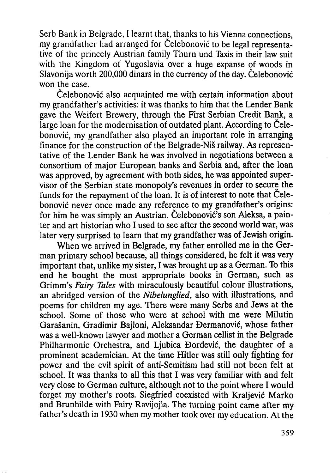Serb Bank in Belgrade, <sup>I</sup> learnt that, thanks to his Vienna connections, my grandfather had arranged for Celebonović to be legal representative of the princely Austrian family Thurn und Taxis in their law suit with the Kingdom of Yugoslavia over a huge expanse of woods in Slavonija worth 200,000 dinars in the currency of the day. Čelebonović won the case.

Čelebonović also acquainted me with certain information about my grandfather's activities: it was thanks to him that the Lender Bank gave the Weifert Brewery, through the First Serbian Credit Bank, a large loan for the modernisation of outdated plant. According to Čelebonović, my grandfather also played an important role in arranging finance for the construction of the Belgrade-Niš railway. As representative of the Lender Bank he was involved in negotiations between a consortium of major European banks and Serbia and, after the loan was approved, by agreement with both sides, he was appointed supervisor of the Serbian state monopoly's revenues in order to secure the funds for the repayment of the loan. It is of interest to note that Celebonović never once made any reference to my grandfather's origins: for him he was simply an Austrian. Čelebonović's son Aleksa, a painter and art historian who I used to see after the second world war, was later very surprised to learn that my grandfather was of Jewish origin.

When we arrived in Belgrade, my father enrolled me in the German primary school because, all things considered, he felt it was very important that, unlike my sister, I was brought up as a German. To this end he bought the most appropriate books in German, such as Grimm's *Fairy Tales* with miraculously beautiful colour illustrations, an abridged version of the *Nibelunglied,* also with illustrations, and poems for children my age. There were many Serbs and Jews at the school. Some of those who were at school with me were Milutin Garašanin, Gradimir Bajloni, Aleksandar Đermanović, whose father was a well-known lawyer and mother a German cellist in the Belgrade Philharmonic Orchestra, and Ljubica Đorđević, the daughter of a prominent academician. At the time Hitler was still only fighting for power and the evil spirit of anti-Semitism had still not been felt at school. It was thanks to all this that I was very familiar with and felt very close to German culture, although not to the point where I would forget my mother's roots. Siegfried coexisted with Kraljević Marko and Brunhilde with Fairy Ravijojla. The turning point came after my father's death in 1930 when my mother took over my education. At the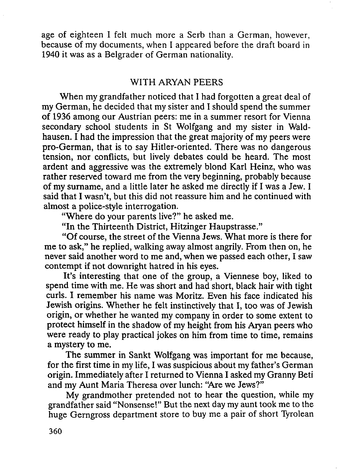age of eighteen I felt much more a Serb than a German, however, because of my documents, when <sup>I</sup> appeared before the draft board in 1940 it was as a Belgrader of German nationality.

## WITH ARYAN PEERS

When my grandfather noticed that I had forgotten a great deal of my German, he decided that my sister and I should spend the summer of 1936 among our Austrian peers: me in a summer resort for Vienna secondary school students in St Wolfgang and my sister in Waldhausen. I had the impression that the great majority of my peers were pro-German, that is to say Hitler-oriented. There was no dangerous tension, nor conflicts, but lively debates could be heard. The most ardent and aggressive was the extremely blond Karl Heinz, who was rather reserved toward me from the very beginning, probably because of my surname, and a little later he asked me directly if I was a Jew. I said that I wasn't, but this did not reassure him and he continued with almost a police-style interrogation.

"Where do your parents live?" he asked me.

"In the Thirteenth District, Hitzinger Haupstrasse."

"Of course, the street of the Vienna Jews. What more is there for me to ask," he replied, walking away almost angrily. From then on, he never said another word to me and, when we passed each other, I saw contempt if not downright hatred in his eyes.

It's interesting that one of the group, a Viennese boy, liked to spend time with me. He was short and had short, black hair with tight curls. I remember his name was Moritz. Even his face indicated his Jewish origins. Whether he felt instinctively that I, too was of Jewish origin, or whether he wanted my company in order to some extent to protect himself in the shadow of my height from his Aryan peers who were ready to play practical jokes on him from time to time, remains a mystery to me.

The summer in Sankt Wolfgang was important for me because, for the first time in my life, I was suspicious about my father's German origin. Immediately after I returned to Vienna I asked my Granny Beti and my Aunt Maria Theresa over lunch: "Are we Jews?"

My grandmother pretended not to hear the question, while my grandfather said "Nonsense!" But the next day my aunt took me to the huge Gerngross department store to buy me a pair of short Tyrolean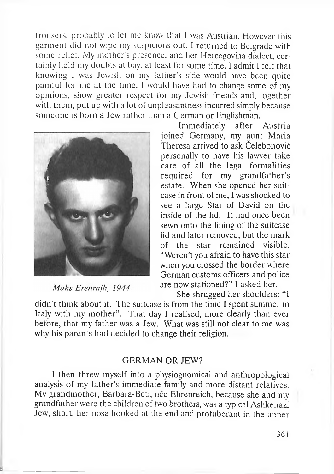trousers, probably to let me know that <sup>1</sup> was Austrian. However this garment did not wipe my suspicions out. <sup>I</sup> returned to Belgrade with some relief. My mother's presence, and her Hercegovina dialect, certainly held my doubts at bay, at least for some time. I admit <sup>I</sup> felt that knowing <sup>I</sup> was Jewish on my father'<sup>s</sup> side would have been quite painful for me at the time. <sup>1</sup> would have had to change some of my opinions, show greater respect for my Jewish friends and, together with them, put up with a lot of unpleasantness incurred simply because someone is born a Jew rather than a German or Englishman.



Maks Erenrajh, 1944

L

Immediately after Austria joined Germany, my aunt Maria Theresa arrived to ask Čelebonović personally to have his lawyer take care of all the legal formalities required for my grandfather'<sup>s</sup> estate. When she opened her suitcase in front of me, I was shocked to see a large Star of David on the inside of the lid! It had once been sewn onto the lining of the suitcase lid and later removed, but the mark of the star remained visible. "Weren't you afraid to have this star when you crossed the border where German customs officers and police are now stationed?'' I asked her.

She shrugged her shoulders: "<sup>I</sup>

didn't think about it. The suitcase is from the time I spent summer in Italy with my mother". That day I realised, more clearly than ever before, that my father was a Jew. What was still not clear to me was why his parents had decided to change their religion.

### GERMAN OR JEW?

I then threw myself into a physiognomical and anthropological analysis of my father'<sup>s</sup> immediate family and more distant relatives. My grandmother, Barbara-Beti, née Ehrenreich, because she and my grandfather were the children of two brothers, was a typical Ashkenazi Jew, short, her nose hooked at the end and protuberant in the upper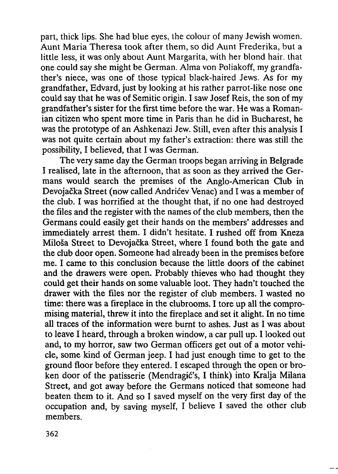part, thick lips. She had blue eyes, the colour of many Jewish women. Aunt Maria Theresa took after them, so did Aunt Frederika, but a little less, it was only about Aunt Margarita, with her blond hair, that one could say she might be German. Alma von Poliakoff, my grandfather's niece, was one of those typical black-haired Jews. As for my grandfather, Edvard, just by looking at his rather parrot-like nose one could say that he was of Semitic origin. I saw Josef Reis, the son of my grandfather's sister for the first time before the war. He was a Romanian citizen who spent more time in Paris than he did in Bucharest, he was the prototype of an Ashkenazi Jew. Still, even after this analysis I was not quite certain about my father's extraction: there was still the possibility, I believed, that I was German.

The very same day the German troops began arriving in Belgrade I realised, late in the afternoon, that as soon as they arrived the Germans would search the premises of the Anglo-American Club in Devojačka Street (now called Andrićev Venae) and I was a member of the club. I was horrified at the thought that, if no one had destroyed the files and the register with the names of the club members, then the Germans could easily get their hands on the members' addresses and immediately arrest them. I didn't hesitate. I rushed off from Kneza Miloša Street to Devojačka Street, where I found both the gate and the club door open. Someone had already been in the premises before me. I came to this conclusion because the little doors of the cabinet and the drawers were open. Probably thieves who had thought they could get their hands on some valuable loot. They hadn't touched the drawer with the files nor the register of club members. I wasted no time: there was a fireplace in the clubrooms. I tore up all the compromising material, threw it into the fireplace and set it alight. In no time all traces of the information were burnt to ashes. Just as I was about to leave I heard, through a broken window, a car pull up. I looked out and, to my horror, saw two German officers get out of a motor vehicle, some kind of German jeep. I had just enough time to get to the ground floor before they entered. I escaped through the open or broken door of the patisserie (Mendragić's, I think) into Kralja Milana Street, and got away before the Germans noticed that someone had beaten them to it. And so I saved myself on the very first day of the occupation and, by saving myself, I believe I saved the other club members.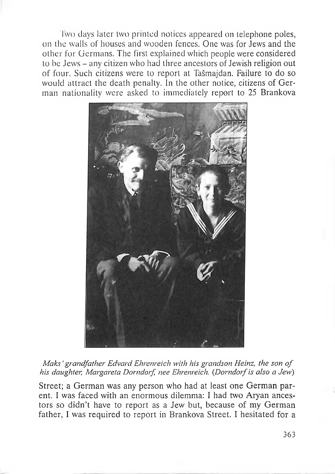<sup>T</sup>wo days later two printed notices appeared on telephone poles, on the walls of houses and wooden fences. One was for Jews and the other for Germans. The first explained which people were considered to be Jews – any citizen who had three ancestors of Jewish religion out of four. Such citizens were to report at Tašmajdan. Failure to do so would attract the death penalty. In the other notice, citizens of German nationality were asked to immediately report to 25 Brankova



*Maks ,grandfather Edvard Ehrenreich with his grandson Heinz, the son of his daughter, Margareta Dorndorf nee Ehrenreich. (Dorndorfis also <sup>a</sup> Eew)*

Street; a German was any person who had at least one German parent. I was faced with an enormous dilemma: <sup>I</sup> had two Aryan ancestors so didn't have to report as a Jew but, because of my German father, <sup>1</sup> was required to report in Brankova Street. <sup>1</sup> hesitated for a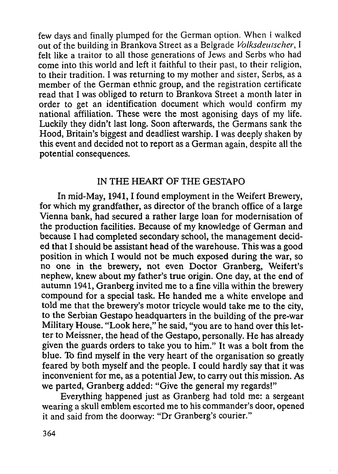few days and finally plumped for the German option. When <sup>I</sup> walked out of the building in Brankova Street as a Belgrade *Volksdeutscher,* <sup>I</sup> felt like a traitor to all those generations of Jews and Serbs who had come into this world and left it faithful to their past, to their religion, to their tradition. I was returning to my mother and sister, Serbs, as a member of the German ethnic group, and the registration certificate read that I was obliged to return to Brankova Street a month later in order to get an identification document which would confirm my national affiliation. These were the most agonising days of my life. Luckily they didn't last long. Soon afterwards, the Germans sank the Hood, Britain's biggest and deadliest warship. I was deeply shaken by this event and decided not to report as a German again, despite all the potential consequences.

## IN THE HEART OF THE GESTAPO

In mid-May, *1941,1* found employment in the Weifert Brewery, for which my grandfather, as director of the branch office of a large Vienna bank, had secured a rather large loan for modernisation of the production facilities. Because of my knowledge of German and because I had completed secondary school, the management decided that I should be assistant head of the warehouse. This was a good position in which I would not be much exposed during the war, so no one in the brewery, not even Doctor Granberg, Weifert's nephew, knew about my father's true origin. One day, at the end of autumn 1941, Granberg invited me to a fine villa within the brewery compound for a special task. He handed me a white envelope and told me that the brewery's motor tricycle would take me to the city, to the Serbian Gestapo headquarters in the building of the pre-war Military House. "Look here," he said, "you are to hand over this letter to Meissner, the head of the Gestapo, personally. He has already given the guards orders to take you to him." It was a bolt from the blue. To find myself in the very heart of the organisation so greatly feared by both myself and the people. I could hardly say that it was inconvenient for me, as a potential Jew, to carry out this mission. As we parted, Granberg added: "Give the general my regards!"

Everything happened just as Granberg had told me: a sergeant wearing a skull emblem escorted me to his commander's door, opened it and said from the doorway: "Dr Granberg's courier."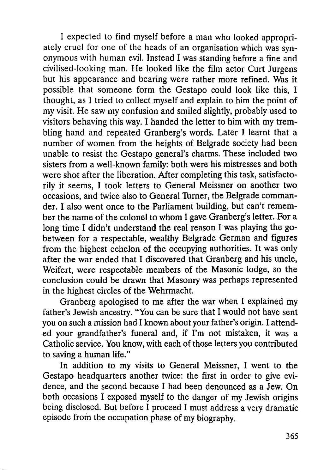I expected to find myself before a man who looked appropriately cruel for one of the heads of an organisation which was synonymous with human evil. Instead I was standing before a fine and civillsed-looking man. He looked like the film actor Curt Jurgens but his appearance and bearing were rather more refined. Was it possible that someone form the Gestapo could look like this, I thought, as I tried to collect myself and explain to him the point of my visit. He saw my confusion and smiled slightly, probably used to visitors behaving this way. I handed the letter to him with my trembling hand and repeated Granberg's words. Later I learnt that a number of women from the heights of Belgrade society had been unable to resist the Gestapo general's charms. These included two sisters from a well-known family: both were his mistresses and both were shot after the liberation. After completing this task, satisfactorily it seems, I took letters to General Meissner on another two occasions, and twice also to General Turner, the Belgrade commander. I also went once to the Parliament building, but can't remember the name of the colonel to whom I gave Granberg's letter. For a long time I didn't understand the real reason I was playing the gobetween for a respectable, wealthy Belgrade German and figures from the highest echelon of the occupying authorities. It was only after the war ended that I discovered that Granberg and his uncle, Weifert, were respectable members of the Masonic lodge, so the conclusion could be drawn that Masonry was perhaps represented in the highest circles of the Wehrmacht.

Granberg apologised to me after the war when I explained my father's Jewish ancestry. "You can be sure that I would not have sent you on such a mission had I known about your father's origin. I attended your grandfather's funeral and, if I'm not mistaken, it was a Catholic service. You know, with each of those letters you contributed to saving a human life."

In addition to my visits to General Meissner, I went to the Gestapo headquarters another twice: the first in order to give evidence, and the second because I had been denounced as a Jew. On both occasions I exposed myself to the danger of my Jewish origins being disclosed. But before I proceed I must address a very dramatic episode from the occupation phase of my biography.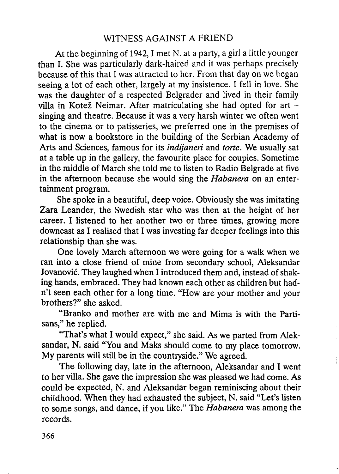## WITNESS AGAINST A FRIEND

At the beginning of 1942, I met N. at a party, a girl a little younger than I. She was particularly dark-haired and it was perhaps precisely because of this that I was attracted to her. From that day on we began seeing a lot of each other, largely at my insistence. I fell in love. She was the daughter of a respected Belgrader and lived in their family villa in Kotež Neimar. After matriculating she had opted for art singing and theatre. Because it was a very harsh winter we often went to the cinema or to patisseries, we preferred one in the premises of what is now a bookstore in the building of the Serbian Academy of Arts and Sciences, famous for its *indijaneri* and *torte.* We usually sat at a table up in the gallery, the favourite place for couples. Sometime in the middle of March she told me to listen to Radio Belgrade at five in the afternoon because she would sing the *Habanera* on an entertainment program.

She spoke in a beautiful, deep voice. Obviously she was imitating Zara Leander, the Swedish star who was then at the height of her career. I listened to her another two or three times, growing more downcast as I realised that I was investing far deeper feelings into this relationship than she was.

One lovely March afternoon we were going for a walk when we ran into a close friend of mine from secondary school, Aleksandar Jovanović. They laughed when I introduced them and, instead of shaking hands, embraced. They had known each other as children but hadn't seen each other for a long time. "How are your mother and your brothers?" she asked.

"Branko and mother are with me and Mima is with the Partisans," he replied.

"That's what I would expect," she said. As we parted from Aleksandar, N. said "You and Maks should come to my place tomorrow. My parents will still be in the countryside." We agreed.

The following day, late in the afternoon, Aleksandar and I went to her villa. She gave the impression she was pleased we had come. As could be expected, N. and Aleksandar began reminiscing about their childhood. When they had exhausted the subject, N. said "Let's listen to some songs, and dance, if you like." The *Habanera* was among the records.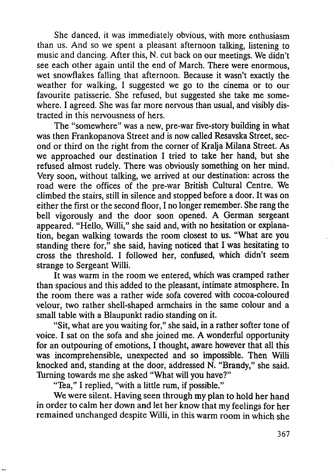She danced, it was immediately obvious, with more enthusiasm than us. And so we spent a pleasant afternoon talking, listening to music and dancing. After this, N. cut back on our meetings. We didn't see each other again until the end of March. There were enormous, wet snowflakes falling that afternoon. Because it wasn't exactly the weather for walking, <sup>1</sup> suggested we go to the cinema or to our favourite patisserie. She refused, but suggested she take me somewhere. I agreed. She was far more nervous than usual, and visibly distracted in this nervousness of hers.

The "somewhere" was a new, pre-war five-story building in what was then Frankopanova Street and is now called Resavska Street, second or third on the right from the corner of Kralja Milana Street. As we approached our destination <sup>1</sup> tried to take her hand, but she refused almost rudely. There was obviously something on her mind. Very soon, without talking, we arrived at our destination: across the road were the offices of the pre-war British Cultural Centre. We climbed the stairs, still in silence and stopped before a door. 1t was on either the first or the second floor, <sup>1</sup> no longer remember. She rang the bell vigorously and the door soon opened. A German sergeant appeared. "Hello, Willi," she said and, with no hesitation or explanation, began walking towards the room closest to us. "What are you standing there for," she said, having noticed that  $I$  was hesitating to cross the threshold. I followed her, confused, which didn't seem strange to Sergeant Willi.

1t was warm in the room we entered, which was cramped rather than spacious and this added to the pleasant, intimate atmosphere. In the room there was a rather wide sofa covered with cocoa-coloured velour, two rather shell-shaped armchairs in the same colour and a small table with a Blaupunkt radio standing on it.

"Sit, what are you waiting for," she said, in a rather softer tone of voice. <sup>1</sup> sat on the sofa and she joined me. A wonderful opportunity for an outpouring of emotions, <sup>1</sup> thought, aware however that all this was incomprehensible, unexpected and so impossible. Then Willi knocked and, standing at the door, addressed N. "Brandy," she said. Turning towards me she asked "What will you have?"

"Tea," <sup>1</sup> replied, "with a little rum, if possible."

We were silent. Having seen through my plan to hold her hand in order to calm her down and let her know that my feelings for her remained unchanged despite Willi, in this warm room in which she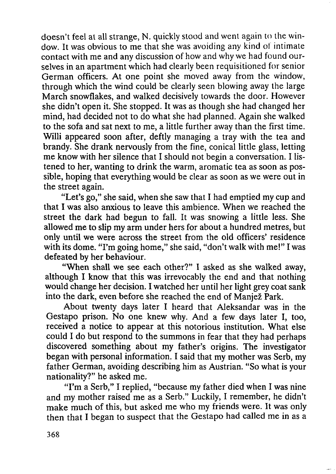doesn't feel at all strange, N. quickly stood and went again to the window. It was obvious to me that she was avoiding any kind of intimate contact with me and any discussion of how and why we had found ourselves in an apartment which had clearly been requisitioned for senior German officers. At one point she moved away from the window, through which the wind could be clearly seen blowing away the large March snowflakes, and walked decisively towards the door. However she didn't open it. She stopped. It was as though she had changed her mind, had decided not to do what she had planned. Again she walked to the sofa and sat next to me, a little further away than the first time. Willi appeared soon after, deftly managing a tray with the tea and brandy. She drank nervously from the fine, conical little glass, letting me know with her silence that I should not begin a conversation. I listened to her, wanting to drink the warm, aromatic tea as soon as possible, hoping that everything would be clear as soon as we were out in the street again.

"Let's go," she said, when she saw that I had emptied my cup and that I was also anxious to leave this ambience. When we reached the street the dark had begun to fall. It was snowing a little less. She allowed me to slip my arm under hers for about a hundred metres, but only until we were across the street from the old officers' residence with its dome. "I'm going home," she said, "don't walk with me!" I was defeated by her behaviour.

"When shall we see each other?" I asked as she walked away, although I know that this was irrevocably the end and that nothing would change her decision. I watched her until her light grey coat sank into the dark, even before she reached the end of Manjež Park.

About twenty days later I heard that Aleksandar was in the Gestapo prison. No one knew why. And a few days later I, too, received a notice to appear at this notorious institution. What else could I do but respond to the summons in fear that they had perhaps discovered something about my father's origins. The investigator began with personal information. I said that my mother was Serb, my father German, avoiding describing him as Austrian. "So what is your nationality?" he asked me.

"I'm a Serb," I replied, "because my father died when I was nine and my mother raised me as a Serb." Luckily, I remember, he didn't make much of this, but asked me who my friends were. It was only then that I began to suspect that the Gestapo had called me in as a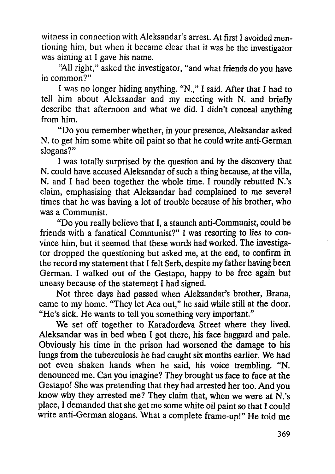witness in connection with Aleksandar's arrest. At first I avoided mentioning him, but when it became clear that it was he the investigator was aiming at I gave his name.

"All right," asked the investigator, "and what friends do you have in common?"

I was no longer hiding anything. "N.," I said. After that I had to tell him about Aleksandar and my meeting with N. and briefly describe that afternoon and what we did. I didn't conceal anything from him.

"Do you remember whether, in your presence, Aleksandar asked N. to get him some white oil paint so that he could write anti-German slogans?"

I was totally surprised by the question and by the discovery that N. could have accused Aleksandar of such a thing because, at the villa, N. and I had been together the whole time. I roundly rebutted N.'s claim, emphasising that Aleksandar had complained to me several times that he was having a lot of trouble because of his brother, who was a Communist.

"Do you really believe that I, a staunch anti-Communist, could be friends with a fanatical Communist?" I was resorting to lies to convince him, but it seemed that these words had worked. The investigator dropped the questioning but asked me, at the end, to confirm in the record my statement that I felt Serb, despite my father having been German. I walked out of the Gestapo, happy to be free again but uneasy because of the statement I had signed.

Not three days had passed when Aleksandar's brother, Brana, came to my home. "They let Aca out," he said while still at the door. "He's sick. He wants to tell you something very important."

We set off together to Karađorđeva Street where they lived. Aleksandar was in bed when I got there, his face haggard and pale. Obviously his time in the prison had worsened the damage to his lungs from the tuberculosis he had caught six months earlier. We had not even shaken hands when he said, his voice trembling. "N. denounced me. Can you imagine? They brought us face to face at the Gestapo! She was pretending that they had arrested her too. And you know why they arrested me? They claim that, when we were at N.'s place, I demanded that she get me some white oil paint so that I could write anti-German slogans. What a complete frame-up!" He told me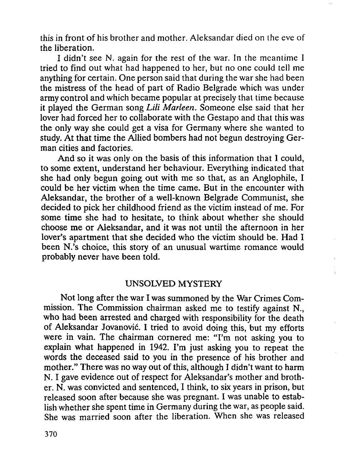this in front of his brother and mother. Aleksandar died on the eve of the liberation.

<sup>1</sup> didn't see N. again for the rest of the war. 1n the meantime <sup>1</sup> tried to find out what had happened to her, but no one could tell me anything for certain. One person said that during the war she had been the mistress of the head of part of Radio Belgrade which was under army control and which became popular at precisely that time because it played the German song *Lili Marleen.* Someone else said that her lover had forced her to collaborate with the Gestapo and that this was the only way she could get a visa for Germany where she wanted to study. At that time the Allied bombers had not begun destroying German cities and factories.

And so it was only on the basis of this information that <sup>1</sup> could, to some extent, understand her behaviour. Everything indicated that she had only begun going out with me so that, as an Anglophile, <sup>1</sup> could be her victim when the time came. But in the encounter with Aleksandar, the brother of a well-known Belgrade Communist, she decided to pick her childhood friend as the victim instead of me. For some time she had to hesitate, to think about whether she should choose me or Aleksandar, and it was not until the afternoon in her lover's apartment that she decided who the victim should be. Had <sup>1</sup> been N.'s choice, this story of an unusual wartime romance would probably never have been told.

#### UNSOLVED MYSTERY

Not long after the war I was summoned by the War Crimes Commission. The Commission chairman asked me to testify against N., who had been arrested and charged with responsibility for the death of Aleksandar Jovanović. I tried to avoid doing this, but my efforts were in vain. The chairman cornered me: "I'm not asking you to explain what happened in I942. I'm just asking you to repeat the words the deceased said to you in the presence of his brother and mother." There was no way out of this, although *I* didn't want to harm N. I gave evidence out of respect for Aleksandar's mother and brother. N. was convicted and sentenced, I think, to six years in prison, but released soon after because she was pregnant. I was unable to establish whether she spent time in Germany during the war, as people said. She was married soon after the liberation. When she was released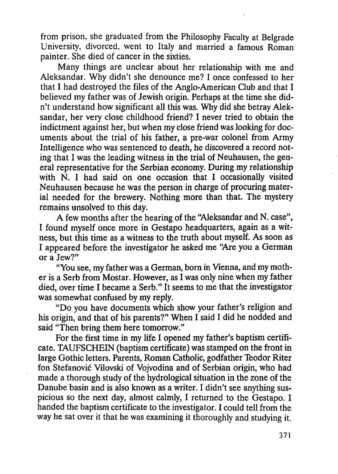from prison, she graduated from the Philosophy Faculty at Belgrade University, divorced, went to Italy and married a famous Roman painter. She died of cancer in the sixties.

Many things are unclear about her relationship with me and Aleksandar. Why didn't she denounce me? I once confessed to her that I had destroyed the files of the Anglo-American Club and that I believed my father was of Jewish origin. Perhaps at the time she didn't understand how significant all this was. Why did she betray Aleksandar, her very close childhood friend? I never tried to obtain the indictment against her, but when my close friend was looking for documents about the trial of his father, a pre-war colonel from Army Intelligence who was sentenced to death, he discovered a record noting that I was the leading witness in the trial of Neuhausen, the general representative for the Serbian economy. During my relationship with N. I had said on one occasion that I occasionally visited Neuhausen because he was the person in charge of procuring material needed for the brewery. Nothing more than that. The mystery remains unsolved to this day.

A few months after the hearing of the "Aleksandar and N. case", I found myself once more in Gestapo headquarters, again as a witness, but this time as a witness to the truth about myself. As soon as I appeared before the investigator he asked me "Are you a German or a Jew?"

"You see, my father was a German, bom in Vienna, and my mother is a Serb from Mostar. However, as I was only nine when my father died, over time I became a Serb." It seems to me that the investigator was somewhat confused by my reply.

"Do you have documents which show your father's religion and his origin, and that of his parents?" When I said I did he nodded and said "Then bring them here tomorrow."

For the first time in my life I opened my father's baptism certificate. TAUFSCHEIN (baptism certificate) was stamped on the front in large Gothic letters. Parents, Roman Catholic, godfather Teodor Riter fon Stefanović Vilovski of Vojvodina and of Serbian origin, who had made a thorough study of the hydrological situation in the zone of the Danube basin and is also known as a writer. I didn't see anything suspicious so the next day, almost calmly, I returned to the Gestapo. I handed the baptism certificate to the investigator. I could tell from the way he sat over it that he was examining it thoroughly and studying it.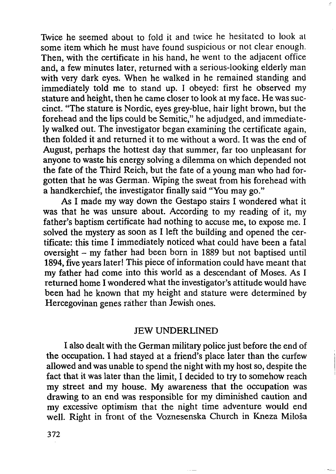Twice he seemed about to fold it and twice he hesitated to look at some item which he must have found suspicious or not clear enough. Then, with the certificate in his hand, he went to the adjacent office and, a few minutes later, returned with a serious-looking elderly man with very dark eyes. When he walked in he remained standing and immediately told me to stand up. I obeyed: first he observed my stature and height, then he came closer to look at my face. He was suecinct. "The stature is Nordic, eyes grey-blue, hair light brown, but the forehead and the lips could be Semitic," he adjudged, and immediately walked out. The investigator began examining the certificate again, then folded it and returned it to me without a word. It was the end of August, perhaps the hottest day that summer, far too unpleasant for anyone to waste his energy solving a dilemma on which depended not the fate of the Third Reich, but the fate of a young man who had forgotten that he was German. Wiping the sweat from his forehead with a handkerchief, the investigator finally said "You may go."

 $\tilde{\Xi}$ 

As I made my way down the Gestapo stairs I wondered what it was that he was unsure about. According to my reading of it, my father's baptism certificate had nothing to accuse me, to expose me. I solved the mystery as soon as I left the building and opened the certificate: this time I immediately noticed what could have been a fatal oversight - my father had been born in 1889 but not baptised until 1894, five years later! This piece of information could have meant that my father had come into this world as a descendant of Moses. As I returned home I wondered what the investigator's attitude would have been had he known that my height and stature were determined by Hercegovinan genes rather than Jewish ones.

#### JEW UNDERLINED

I also dealt with the German military police just before the end of the occupation. I had stayed at a friend's place later than the curfew allowed and was unable to spend the night with my host so, despite the fact that it was later than the limit, I decided to try to somehow reach my street and my house. My awareness that the occupation was drawing to an end was responsible for my diminished caution and my excessive optimism that the night time adventure would end well. Right in front of the Voznesenska Church in Kneza Miloša